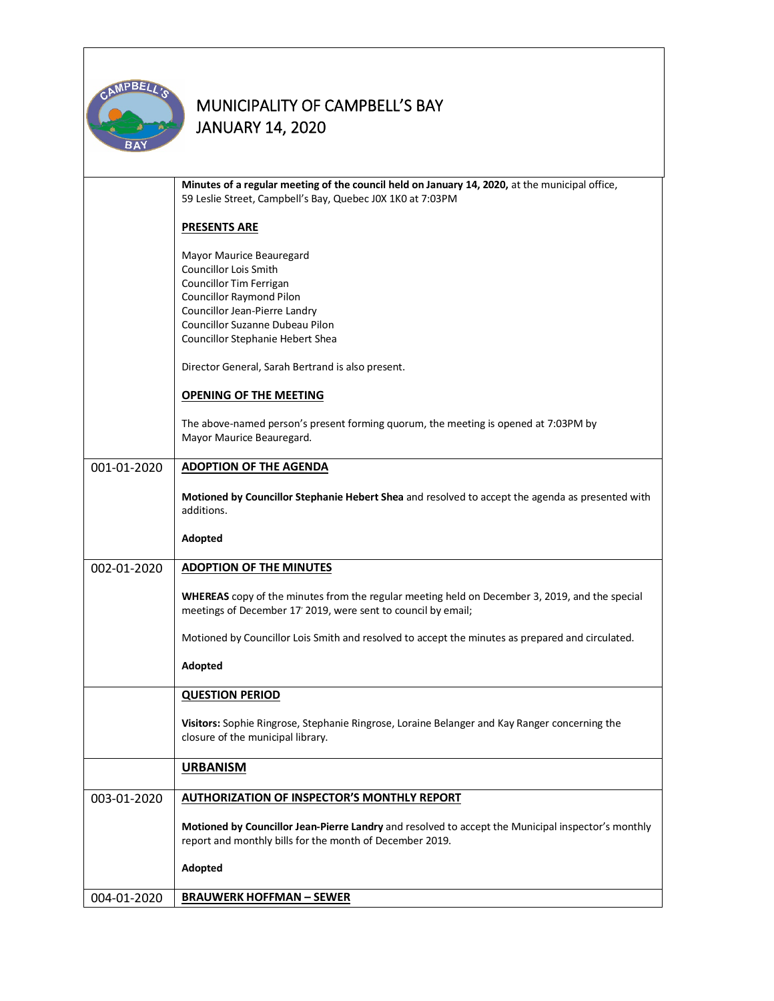

|             | Minutes of a regular meeting of the council held on January 14, 2020, at the municipal office,<br>59 Leslie Street, Campbell's Bay, Quebec J0X 1K0 at 7:03PM    |  |  |  |  |
|-------------|-----------------------------------------------------------------------------------------------------------------------------------------------------------------|--|--|--|--|
|             | <b>PRESENTS ARE</b>                                                                                                                                             |  |  |  |  |
|             | Mayor Maurice Beauregard                                                                                                                                        |  |  |  |  |
|             | <b>Councillor Lois Smith</b>                                                                                                                                    |  |  |  |  |
|             | Councillor Tim Ferrigan<br><b>Councillor Raymond Pilon</b>                                                                                                      |  |  |  |  |
|             | Councillor Jean-Pierre Landry                                                                                                                                   |  |  |  |  |
|             | Councillor Suzanne Dubeau Pilon                                                                                                                                 |  |  |  |  |
|             | Councillor Stephanie Hebert Shea                                                                                                                                |  |  |  |  |
|             | Director General, Sarah Bertrand is also present.                                                                                                               |  |  |  |  |
|             | <b>OPENING OF THE MEETING</b>                                                                                                                                   |  |  |  |  |
|             | The above-named person's present forming quorum, the meeting is opened at 7:03PM by<br>Mayor Maurice Beauregard.                                                |  |  |  |  |
|             |                                                                                                                                                                 |  |  |  |  |
| 001-01-2020 | <b>ADOPTION OF THE AGENDA</b>                                                                                                                                   |  |  |  |  |
|             | Motioned by Councillor Stephanie Hebert Shea and resolved to accept the agenda as presented with<br>additions.                                                  |  |  |  |  |
|             | Adopted                                                                                                                                                         |  |  |  |  |
| 002-01-2020 | <b>ADOPTION OF THE MINUTES</b>                                                                                                                                  |  |  |  |  |
|             | WHEREAS copy of the minutes from the regular meeting held on December 3, 2019, and the special<br>meetings of December 17' 2019, were sent to council by email; |  |  |  |  |
|             | Motioned by Councillor Lois Smith and resolved to accept the minutes as prepared and circulated.                                                                |  |  |  |  |
|             | Adopted                                                                                                                                                         |  |  |  |  |
|             | <b>QUESTION PERIOD</b>                                                                                                                                          |  |  |  |  |
|             | Visitors: Sophie Ringrose, Stephanie Ringrose, Loraine Belanger and Kay Ranger concerning the<br>closure of the municipal library.                              |  |  |  |  |
|             | <b>URBANISM</b>                                                                                                                                                 |  |  |  |  |
| 003-01-2020 | <b>AUTHORIZATION OF INSPECTOR'S MONTHLY REPORT</b>                                                                                                              |  |  |  |  |
|             | Motioned by Councillor Jean-Pierre Landry and resolved to accept the Municipal inspector's monthly<br>report and monthly bills for the month of December 2019.  |  |  |  |  |
|             | Adopted                                                                                                                                                         |  |  |  |  |
| 004-01-2020 | <b>BRAUWERK HOFFMAN - SEWER</b>                                                                                                                                 |  |  |  |  |
|             |                                                                                                                                                                 |  |  |  |  |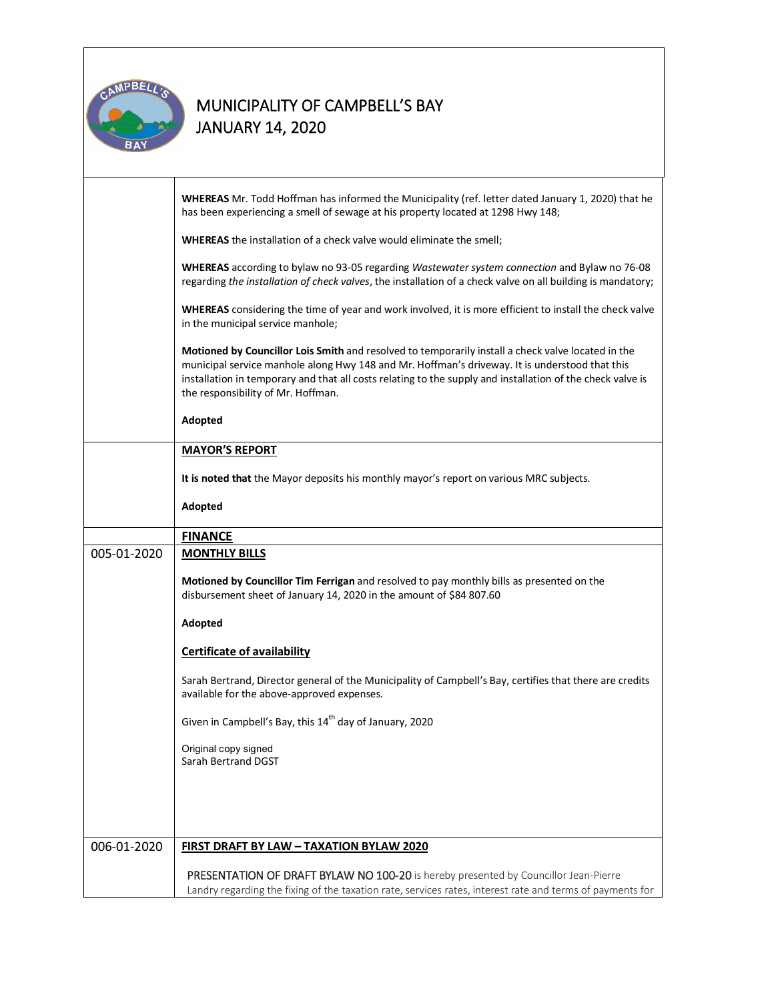

|             | WHEREAS Mr. Todd Hoffman has informed the Municipality (ref. letter dated January 1, 2020) that he<br>has been experiencing a smell of sewage at his property located at 1298 Hwy 148;                                                                                                                                                                   |  |  |  |
|-------------|----------------------------------------------------------------------------------------------------------------------------------------------------------------------------------------------------------------------------------------------------------------------------------------------------------------------------------------------------------|--|--|--|
|             | WHEREAS the installation of a check valve would eliminate the smell;                                                                                                                                                                                                                                                                                     |  |  |  |
|             | WHEREAS according to bylaw no 93-05 regarding Wastewater system connection and Bylaw no 76-08<br>regarding the installation of check valves, the installation of a check valve on all building is mandatory;                                                                                                                                             |  |  |  |
|             | WHEREAS considering the time of year and work involved, it is more efficient to install the check valve<br>in the municipal service manhole;                                                                                                                                                                                                             |  |  |  |
|             | Motioned by Councillor Lois Smith and resolved to temporarily install a check valve located in the<br>municipal service manhole along Hwy 148 and Mr. Hoffman's driveway. It is understood that this<br>installation in temporary and that all costs relating to the supply and installation of the check valve is<br>the responsibility of Mr. Hoffman. |  |  |  |
|             | Adopted                                                                                                                                                                                                                                                                                                                                                  |  |  |  |
|             | <b>MAYOR'S REPORT</b>                                                                                                                                                                                                                                                                                                                                    |  |  |  |
|             | It is noted that the Mayor deposits his monthly mayor's report on various MRC subjects.                                                                                                                                                                                                                                                                  |  |  |  |
|             | Adopted                                                                                                                                                                                                                                                                                                                                                  |  |  |  |
|             | <b>FINANCE</b>                                                                                                                                                                                                                                                                                                                                           |  |  |  |
| 005-01-2020 | <b>MONTHLY BILLS</b>                                                                                                                                                                                                                                                                                                                                     |  |  |  |
|             | Motioned by Councillor Tim Ferrigan and resolved to pay monthly bills as presented on the<br>disbursement sheet of January 14, 2020 in the amount of \$84 807.60                                                                                                                                                                                         |  |  |  |
|             | Adopted                                                                                                                                                                                                                                                                                                                                                  |  |  |  |
|             | <b>Certificate of availability</b>                                                                                                                                                                                                                                                                                                                       |  |  |  |
|             | Sarah Bertrand, Director general of the Municipality of Campbell's Bay, certifies that there are credits<br>available for the above-approved expenses.                                                                                                                                                                                                   |  |  |  |
|             | Given in Campbell's Bay, this 14 <sup>th</sup> day of January, 2020                                                                                                                                                                                                                                                                                      |  |  |  |
|             | Original copy signed<br>Sarah Bertrand DGST                                                                                                                                                                                                                                                                                                              |  |  |  |
|             |                                                                                                                                                                                                                                                                                                                                                          |  |  |  |
|             |                                                                                                                                                                                                                                                                                                                                                          |  |  |  |
| 006-01-2020 | <b>FIRST DRAFT BY LAW - TAXATION BYLAW 2020</b>                                                                                                                                                                                                                                                                                                          |  |  |  |
|             | PRESENTATION OF DRAFT BYLAW NO 100-20 is hereby presented by Councillor Jean-Pierre<br>Landry regarding the fixing of the taxation rate, services rates, interest rate and terms of payments for                                                                                                                                                         |  |  |  |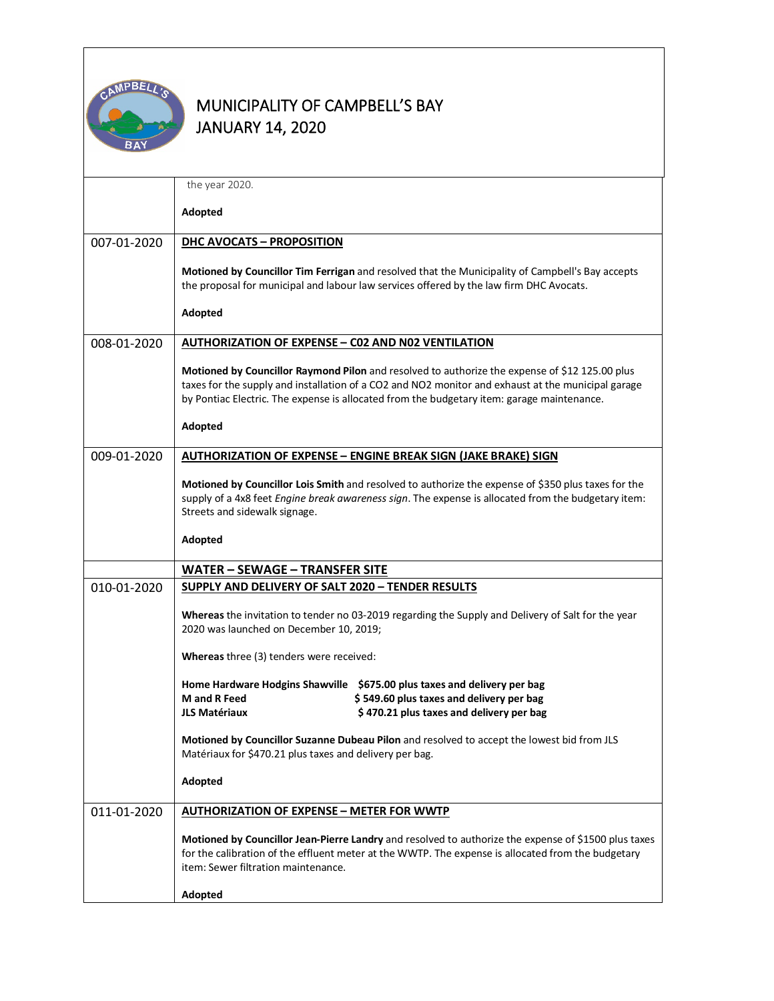

|             | the year 2020.                                                                                                                                                                                                                                                                                     |  |  |  |  |
|-------------|----------------------------------------------------------------------------------------------------------------------------------------------------------------------------------------------------------------------------------------------------------------------------------------------------|--|--|--|--|
|             | Adopted                                                                                                                                                                                                                                                                                            |  |  |  |  |
| 007-01-2020 | DHC AVOCATS - PROPOSITION                                                                                                                                                                                                                                                                          |  |  |  |  |
|             |                                                                                                                                                                                                                                                                                                    |  |  |  |  |
|             | Motioned by Councillor Tim Ferrigan and resolved that the Municipality of Campbell's Bay accepts<br>the proposal for municipal and labour law services offered by the law firm DHC Avocats.                                                                                                        |  |  |  |  |
|             | Adopted                                                                                                                                                                                                                                                                                            |  |  |  |  |
| 008-01-2020 | <b>AUTHORIZATION OF EXPENSE - C02 AND N02 VENTILATION</b>                                                                                                                                                                                                                                          |  |  |  |  |
|             |                                                                                                                                                                                                                                                                                                    |  |  |  |  |
|             | Motioned by Councillor Raymond Pilon and resolved to authorize the expense of \$12 125.00 plus<br>taxes for the supply and installation of a CO2 and NO2 monitor and exhaust at the municipal garage<br>by Pontiac Electric. The expense is allocated from the budgetary item: garage maintenance. |  |  |  |  |
|             |                                                                                                                                                                                                                                                                                                    |  |  |  |  |
|             | Adopted                                                                                                                                                                                                                                                                                            |  |  |  |  |
| 009-01-2020 | <b>AUTHORIZATION OF EXPENSE - ENGINE BREAK SIGN (JAKE BRAKE) SIGN</b>                                                                                                                                                                                                                              |  |  |  |  |
|             | Motioned by Councillor Lois Smith and resolved to authorize the expense of \$350 plus taxes for the                                                                                                                                                                                                |  |  |  |  |
|             | supply of a 4x8 feet Engine break awareness sign. The expense is allocated from the budgetary item:                                                                                                                                                                                                |  |  |  |  |
|             | Streets and sidewalk signage.                                                                                                                                                                                                                                                                      |  |  |  |  |
|             | Adopted                                                                                                                                                                                                                                                                                            |  |  |  |  |
|             | WATER - SEWAGE - TRANSFER SITE                                                                                                                                                                                                                                                                     |  |  |  |  |
| 010-01-2020 | SUPPLY AND DELIVERY OF SALT 2020 - TENDER RESULTS                                                                                                                                                                                                                                                  |  |  |  |  |
|             | Whereas the invitation to tender no 03-2019 regarding the Supply and Delivery of Salt for the year<br>2020 was launched on December 10, 2019;                                                                                                                                                      |  |  |  |  |
|             | Whereas three (3) tenders were received:                                                                                                                                                                                                                                                           |  |  |  |  |
|             | Home Hardware Hodgins Shawville \$675.00 plus taxes and delivery per bag                                                                                                                                                                                                                           |  |  |  |  |
|             | <b>M</b> and <b>R</b> Feed<br>\$549.60 plus taxes and delivery per bag                                                                                                                                                                                                                             |  |  |  |  |
|             | \$470.21 plus taxes and delivery per bag<br><b>JLS Matériaux</b>                                                                                                                                                                                                                                   |  |  |  |  |
|             | Motioned by Councillor Suzanne Dubeau Pilon and resolved to accept the lowest bid from JLS<br>Matériaux for \$470.21 plus taxes and delivery per bag.                                                                                                                                              |  |  |  |  |
|             | Adopted                                                                                                                                                                                                                                                                                            |  |  |  |  |
| 011-01-2020 | <b>AUTHORIZATION OF EXPENSE - METER FOR WWTP</b>                                                                                                                                                                                                                                                   |  |  |  |  |
|             | Motioned by Councillor Jean-Pierre Landry and resolved to authorize the expense of \$1500 plus taxes<br>for the calibration of the effluent meter at the WWTP. The expense is allocated from the budgetary<br>item: Sewer filtration maintenance.                                                  |  |  |  |  |
|             | Adopted                                                                                                                                                                                                                                                                                            |  |  |  |  |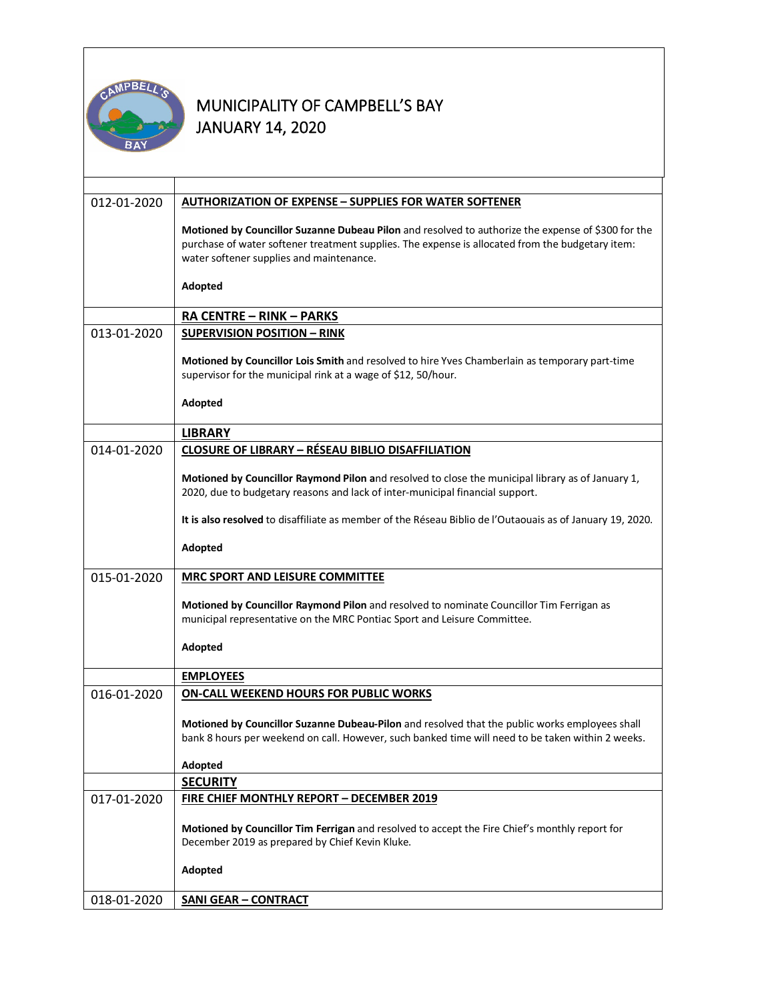

| 012-01-2020 | <b>AUTHORIZATION OF EXPENSE - SUPPLIES FOR WATER SOFTENER</b>                                                                                                                                                                                      |  |  |  |
|-------------|----------------------------------------------------------------------------------------------------------------------------------------------------------------------------------------------------------------------------------------------------|--|--|--|
|             | Motioned by Councillor Suzanne Dubeau Pilon and resolved to authorize the expense of \$300 for the<br>purchase of water softener treatment supplies. The expense is allocated from the budgetary item:<br>water softener supplies and maintenance. |  |  |  |
|             | Adopted                                                                                                                                                                                                                                            |  |  |  |
|             | RA CENTRE - RINK - PARKS                                                                                                                                                                                                                           |  |  |  |
| 013-01-2020 | <b>SUPERVISION POSITION - RINK</b>                                                                                                                                                                                                                 |  |  |  |
|             | Motioned by Councillor Lois Smith and resolved to hire Yves Chamberlain as temporary part-time<br>supervisor for the municipal rink at a wage of \$12, 50/hour.                                                                                    |  |  |  |
|             | Adopted                                                                                                                                                                                                                                            |  |  |  |
|             | <b>LIBRARY</b>                                                                                                                                                                                                                                     |  |  |  |
| 014-01-2020 | <b>CLOSURE OF LIBRARY - RÉSEAU BIBLIO DISAFFILIATION</b>                                                                                                                                                                                           |  |  |  |
|             | Motioned by Councillor Raymond Pilon and resolved to close the municipal library as of January 1,<br>2020, due to budgetary reasons and lack of inter-municipal financial support.                                                                 |  |  |  |
|             | It is also resolved to disaffiliate as member of the Réseau Biblio de l'Outaouais as of January 19, 2020.                                                                                                                                          |  |  |  |
|             | Adopted                                                                                                                                                                                                                                            |  |  |  |
| 015-01-2020 | <b>MRC SPORT AND LEISURE COMMITTEE</b>                                                                                                                                                                                                             |  |  |  |
|             | Motioned by Councillor Raymond Pilon and resolved to nominate Councillor Tim Ferrigan as<br>municipal representative on the MRC Pontiac Sport and Leisure Committee.                                                                               |  |  |  |
|             | Adopted                                                                                                                                                                                                                                            |  |  |  |
|             | <b>EMPLOYEES</b>                                                                                                                                                                                                                                   |  |  |  |
| 016-01-2020 | <b>ON-CALL WEEKEND HOURS FOR PUBLIC WORKS</b>                                                                                                                                                                                                      |  |  |  |
|             | Motioned by Councillor Suzanne Dubeau-Pilon and resolved that the public works employees shall                                                                                                                                                     |  |  |  |
|             | bank 8 hours per weekend on call. However, such banked time will need to be taken within 2 weeks.                                                                                                                                                  |  |  |  |
|             | Adopted                                                                                                                                                                                                                                            |  |  |  |
|             | <b>SECURITY</b>                                                                                                                                                                                                                                    |  |  |  |
| 017-01-2020 | FIRE CHIEF MONTHLY REPORT - DECEMBER 2019                                                                                                                                                                                                          |  |  |  |
|             | Motioned by Councillor Tim Ferrigan and resolved to accept the Fire Chief's monthly report for<br>December 2019 as prepared by Chief Kevin Kluke.                                                                                                  |  |  |  |
|             | Adopted                                                                                                                                                                                                                                            |  |  |  |
| 018-01-2020 | <b>SANI GEAR - CONTRACT</b>                                                                                                                                                                                                                        |  |  |  |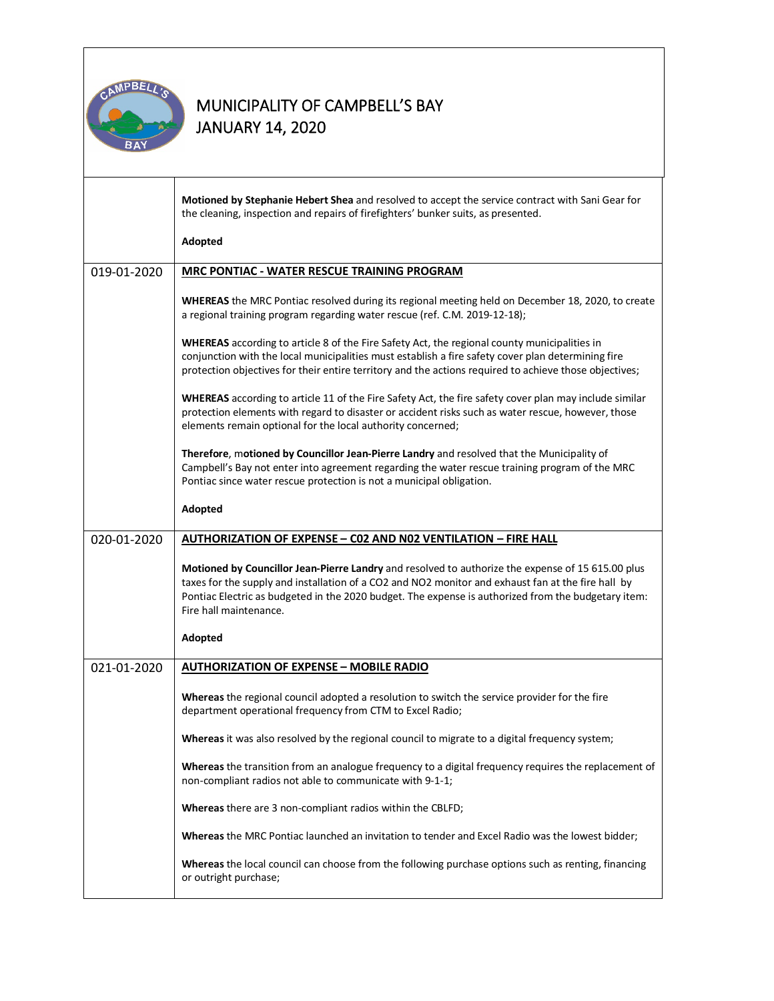

|             | Motioned by Stephanie Hebert Shea and resolved to accept the service contract with Sani Gear for<br>the cleaning, inspection and repairs of firefighters' bunker suits, as presented.                                                                                                                                                    |  |  |
|-------------|------------------------------------------------------------------------------------------------------------------------------------------------------------------------------------------------------------------------------------------------------------------------------------------------------------------------------------------|--|--|
|             | Adopted                                                                                                                                                                                                                                                                                                                                  |  |  |
| 019-01-2020 | MRC PONTIAC - WATER RESCUE TRAINING PROGRAM                                                                                                                                                                                                                                                                                              |  |  |
|             | WHEREAS the MRC Pontiac resolved during its regional meeting held on December 18, 2020, to create<br>a regional training program regarding water rescue (ref. C.M. 2019-12-18);                                                                                                                                                          |  |  |
|             | WHEREAS according to article 8 of the Fire Safety Act, the regional county municipalities in<br>conjunction with the local municipalities must establish a fire safety cover plan determining fire<br>protection objectives for their entire territory and the actions required to achieve those objectives;                             |  |  |
|             | WHEREAS according to article 11 of the Fire Safety Act, the fire safety cover plan may include similar<br>protection elements with regard to disaster or accident risks such as water rescue, however, those<br>elements remain optional for the local authority concerned;                                                              |  |  |
|             | Therefore, motioned by Councillor Jean-Pierre Landry and resolved that the Municipality of<br>Campbell's Bay not enter into agreement regarding the water rescue training program of the MRC<br>Pontiac since water rescue protection is not a municipal obligation.                                                                     |  |  |
|             | Adopted                                                                                                                                                                                                                                                                                                                                  |  |  |
| 020-01-2020 | <b>AUTHORIZATION OF EXPENSE - CO2 AND NO2 VENTILATION - FIRE HALL</b>                                                                                                                                                                                                                                                                    |  |  |
|             | Motioned by Councillor Jean-Pierre Landry and resolved to authorize the expense of 15 615.00 plus<br>taxes for the supply and installation of a CO2 and NO2 monitor and exhaust fan at the fire hall by<br>Pontiac Electric as budgeted in the 2020 budget. The expense is authorized from the budgetary item:<br>Fire hall maintenance. |  |  |
|             | Adopted                                                                                                                                                                                                                                                                                                                                  |  |  |
| 021-01-2020 | <b>AUTHORIZATION OF EXPENSE - MOBILE RADIO</b>                                                                                                                                                                                                                                                                                           |  |  |
|             | Whereas the regional council adopted a resolution to switch the service provider for the fire<br>department operational frequency from CTM to Excel Radio;                                                                                                                                                                               |  |  |
|             | Whereas it was also resolved by the regional council to migrate to a digital frequency system;                                                                                                                                                                                                                                           |  |  |
|             | Whereas the transition from an analogue frequency to a digital frequency requires the replacement of<br>non-compliant radios not able to communicate with 9-1-1;                                                                                                                                                                         |  |  |
|             | Whereas there are 3 non-compliant radios within the CBLFD;                                                                                                                                                                                                                                                                               |  |  |
|             | Whereas the MRC Pontiac launched an invitation to tender and Excel Radio was the lowest bidder;                                                                                                                                                                                                                                          |  |  |
|             | Whereas the local council can choose from the following purchase options such as renting, financing<br>or outright purchase;                                                                                                                                                                                                             |  |  |